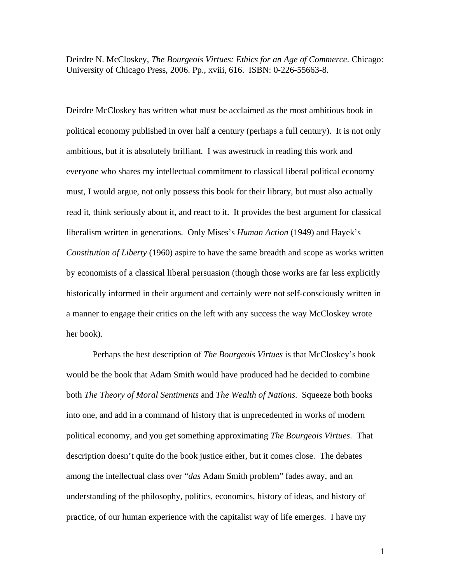Deirdre N. McCloskey, *The Bourgeois Virtues: Ethics for an Age of Commerce*. Chicago: University of Chicago Press, 2006. Pp., xviii, 616. ISBN: 0-226-55663-8.

Deirdre McCloskey has written what must be acclaimed as the most ambitious book in political economy published in over half a century (perhaps a full century). It is not only ambitious, but it is absolutely brilliant. I was awestruck in reading this work and everyone who shares my intellectual commitment to classical liberal political economy must, I would argue, not only possess this book for their library, but must also actually read it, think seriously about it, and react to it. It provides the best argument for classical liberalism written in generations. Only Mises's *Human Action* (1949) and Hayek's *Constitution of Liberty* (1960) aspire to have the same breadth and scope as works written by economists of a classical liberal persuasion (though those works are far less explicitly historically informed in their argument and certainly were not self-consciously written in a manner to engage their critics on the left with any success the way McCloskey wrote her book).

Perhaps the best description of *The Bourgeois Virtues* is that McCloskey's book would be the book that Adam Smith would have produced had he decided to combine both *The Theory of Moral Sentiments* and *The Wealth of Nations*. Squeeze both books into one, and add in a command of history that is unprecedented in works of modern political economy, and you get something approximating *The Bourgeois Virtues*. That description doesn't quite do the book justice either, but it comes close. The debates among the intellectual class over "*das* Adam Smith problem" fades away, and an understanding of the philosophy, politics, economics, history of ideas, and history of practice, of our human experience with the capitalist way of life emerges. I have my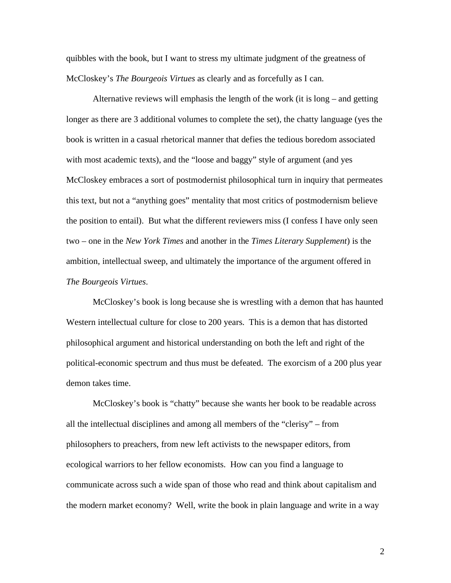quibbles with the book, but I want to stress my ultimate judgment of the greatness of McCloskey's *The Bourgeois Virtues* as clearly and as forcefully as I can.

 Alternative reviews will emphasis the length of the work (it is long – and getting longer as there are 3 additional volumes to complete the set), the chatty language (yes the book is written in a casual rhetorical manner that defies the tedious boredom associated with most academic texts), and the "loose and baggy" style of argument (and yes McCloskey embraces a sort of postmodernist philosophical turn in inquiry that permeates this text, but not a "anything goes" mentality that most critics of postmodernism believe the position to entail). But what the different reviewers miss (I confess I have only seen two – one in the *New York Times* and another in the *Times Literary Supplement*) is the ambition, intellectual sweep, and ultimately the importance of the argument offered in *The Bourgeois Virtues*.

McCloskey's book is long because she is wrestling with a demon that has haunted Western intellectual culture for close to 200 years. This is a demon that has distorted philosophical argument and historical understanding on both the left and right of the political-economic spectrum and thus must be defeated. The exorcism of a 200 plus year demon takes time.

McCloskey's book is "chatty" because she wants her book to be readable across all the intellectual disciplines and among all members of the "clerisy" – from philosophers to preachers, from new left activists to the newspaper editors, from ecological warriors to her fellow economists. How can you find a language to communicate across such a wide span of those who read and think about capitalism and the modern market economy? Well, write the book in plain language and write in a way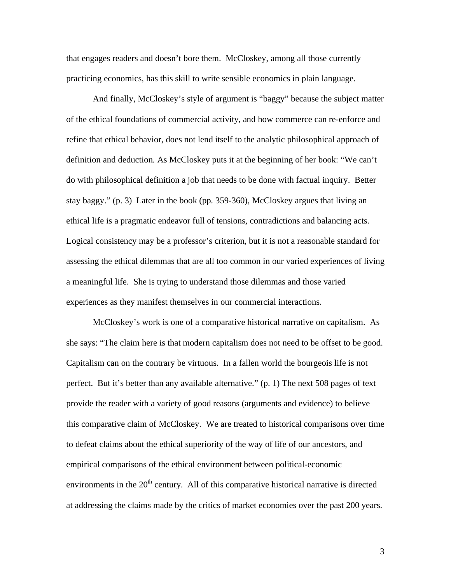that engages readers and doesn't bore them. McCloskey, among all those currently practicing economics, has this skill to write sensible economics in plain language.

And finally, McCloskey's style of argument is "baggy" because the subject matter of the ethical foundations of commercial activity, and how commerce can re-enforce and refine that ethical behavior, does not lend itself to the analytic philosophical approach of definition and deduction. As McCloskey puts it at the beginning of her book: "We can't do with philosophical definition a job that needs to be done with factual inquiry. Better stay baggy." (p. 3) Later in the book (pp. 359-360), McCloskey argues that living an ethical life is a pragmatic endeavor full of tensions, contradictions and balancing acts. Logical consistency may be a professor's criterion, but it is not a reasonable standard for assessing the ethical dilemmas that are all too common in our varied experiences of living a meaningful life. She is trying to understand those dilemmas and those varied experiences as they manifest themselves in our commercial interactions.

 McCloskey's work is one of a comparative historical narrative on capitalism. As she says: "The claim here is that modern capitalism does not need to be offset to be good. Capitalism can on the contrary be virtuous. In a fallen world the bourgeois life is not perfect. But it's better than any available alternative." (p. 1) The next 508 pages of text provide the reader with a variety of good reasons (arguments and evidence) to believe this comparative claim of McCloskey. We are treated to historical comparisons over time to defeat claims about the ethical superiority of the way of life of our ancestors, and empirical comparisons of the ethical environment between political-economic environments in the  $20<sup>th</sup>$  century. All of this comparative historical narrative is directed at addressing the claims made by the critics of market economies over the past 200 years.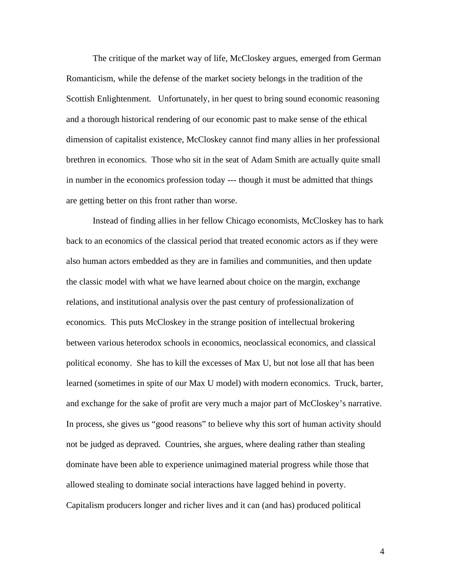The critique of the market way of life, McCloskey argues, emerged from German Romanticism, while the defense of the market society belongs in the tradition of the Scottish Enlightenment. Unfortunately, in her quest to bring sound economic reasoning and a thorough historical rendering of our economic past to make sense of the ethical dimension of capitalist existence, McCloskey cannot find many allies in her professional brethren in economics. Those who sit in the seat of Adam Smith are actually quite small in number in the economics profession today --- though it must be admitted that things are getting better on this front rather than worse.

Instead of finding allies in her fellow Chicago economists, McCloskey has to hark back to an economics of the classical period that treated economic actors as if they were also human actors embedded as they are in families and communities, and then update the classic model with what we have learned about choice on the margin, exchange relations, and institutional analysis over the past century of professionalization of economics. This puts McCloskey in the strange position of intellectual brokering between various heterodox schools in economics, neoclassical economics, and classical political economy. She has to kill the excesses of Max U, but not lose all that has been learned (sometimes in spite of our Max U model) with modern economics. Truck, barter, and exchange for the sake of profit are very much a major part of McCloskey's narrative. In process, she gives us "good reasons" to believe why this sort of human activity should not be judged as depraved. Countries, she argues, where dealing rather than stealing dominate have been able to experience unimagined material progress while those that allowed stealing to dominate social interactions have lagged behind in poverty. Capitalism producers longer and richer lives and it can (and has) produced political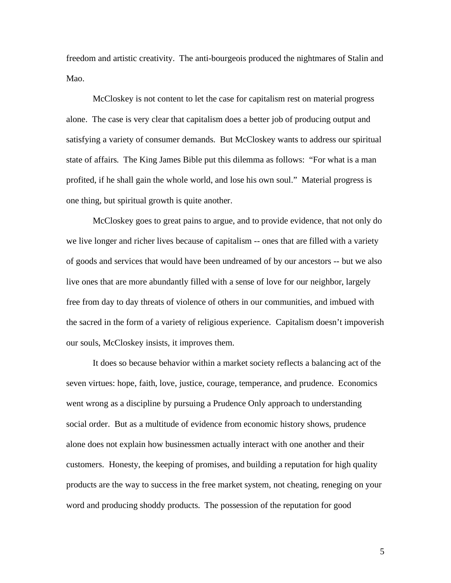freedom and artistic creativity. The anti-bourgeois produced the nightmares of Stalin and Mao.

 McCloskey is not content to let the case for capitalism rest on material progress alone. The case is very clear that capitalism does a better job of producing output and satisfying a variety of consumer demands. But McCloskey wants to address our spiritual state of affairs. The King James Bible put this dilemma as follows: "For what is a man profited, if he shall gain the whole world, and lose his own soul." Material progress is one thing, but spiritual growth is quite another.

 McCloskey goes to great pains to argue, and to provide evidence, that not only do we live longer and richer lives because of capitalism -- ones that are filled with a variety of goods and services that would have been undreamed of by our ancestors -- but we also live ones that are more abundantly filled with a sense of love for our neighbor, largely free from day to day threats of violence of others in our communities, and imbued with the sacred in the form of a variety of religious experience. Capitalism doesn't impoverish our souls, McCloskey insists, it improves them.

 It does so because behavior within a market society reflects a balancing act of the seven virtues: hope, faith, love, justice, courage, temperance, and prudence. Economics went wrong as a discipline by pursuing a Prudence Only approach to understanding social order. But as a multitude of evidence from economic history shows, prudence alone does not explain how businessmen actually interact with one another and their customers. Honesty, the keeping of promises, and building a reputation for high quality products are the way to success in the free market system, not cheating, reneging on your word and producing shoddy products. The possession of the reputation for good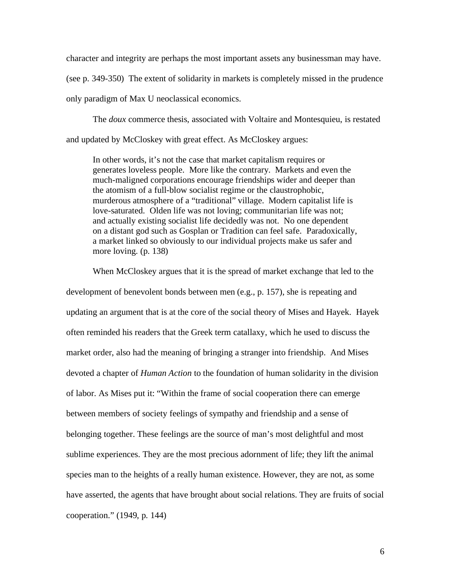character and integrity are perhaps the most important assets any businessman may have.

(see p. 349-350) The extent of solidarity in markets is completely missed in the prudence only paradigm of Max U neoclassical economics.

 The *doux* commerce thesis, associated with Voltaire and Montesquieu, is restated and updated by McCloskey with great effect. As McCloskey argues:

In other words, it's not the case that market capitalism requires or generates loveless people. More like the contrary. Markets and even the much-maligned corporations encourage friendships wider and deeper than the atomism of a full-blow socialist regime or the claustrophobic, murderous atmosphere of a "traditional" village. Modern capitalist life is love-saturated. Olden life was not loving; communitarian life was not; and actually existing socialist life decidedly was not. No one dependent on a distant god such as Gosplan or Tradition can feel safe. Paradoxically, a market linked so obviously to our individual projects make us safer and more loving. (p. 138)

 When McCloskey argues that it is the spread of market exchange that led to the development of benevolent bonds between men (e.g., p. 157), she is repeating and updating an argument that is at the core of the social theory of Mises and Hayek. Hayek often reminded his readers that the Greek term catallaxy, which he used to discuss the market order, also had the meaning of bringing a stranger into friendship. And Mises devoted a chapter of *Human Action* to the foundation of human solidarity in the division of labor. As Mises put it: "Within the frame of social cooperation there can emerge between members of society feelings of sympathy and friendship and a sense of belonging together. These feelings are the source of man's most delightful and most sublime experiences. They are the most precious adornment of life; they lift the animal species man to the heights of a really human existence. However, they are not, as some have asserted, the agents that have brought about social relations. They are fruits of social cooperation." (1949, p. 144)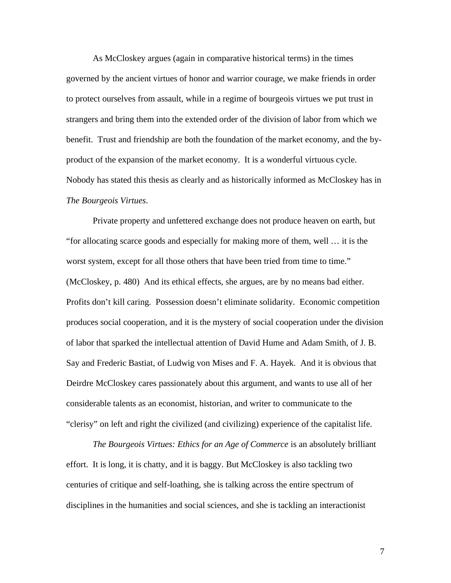As McCloskey argues (again in comparative historical terms) in the times governed by the ancient virtues of honor and warrior courage, we make friends in order to protect ourselves from assault, while in a regime of bourgeois virtues we put trust in strangers and bring them into the extended order of the division of labor from which we benefit. Trust and friendship are both the foundation of the market economy, and the byproduct of the expansion of the market economy. It is a wonderful virtuous cycle. Nobody has stated this thesis as clearly and as historically informed as McCloskey has in *The Bourgeois Virtues*.

 Private property and unfettered exchange does not produce heaven on earth, but "for allocating scarce goods and especially for making more of them, well … it is the worst system, except for all those others that have been tried from time to time." (McCloskey, p. 480) And its ethical effects, she argues, are by no means bad either. Profits don't kill caring. Possession doesn't eliminate solidarity. Economic competition produces social cooperation, and it is the mystery of social cooperation under the division of labor that sparked the intellectual attention of David Hume and Adam Smith, of J. B. Say and Frederic Bastiat, of Ludwig von Mises and F. A. Hayek. And it is obvious that Deirdre McCloskey cares passionately about this argument, and wants to use all of her considerable talents as an economist, historian, and writer to communicate to the "clerisy" on left and right the civilized (and civilizing) experience of the capitalist life.

*The Bourgeois Virtues: Ethics for an Age of Commerce* is an absolutely brilliant effort. It is long, it is chatty, and it is baggy. But McCloskey is also tackling two centuries of critique and self-loathing, she is talking across the entire spectrum of disciplines in the humanities and social sciences, and she is tackling an interactionist